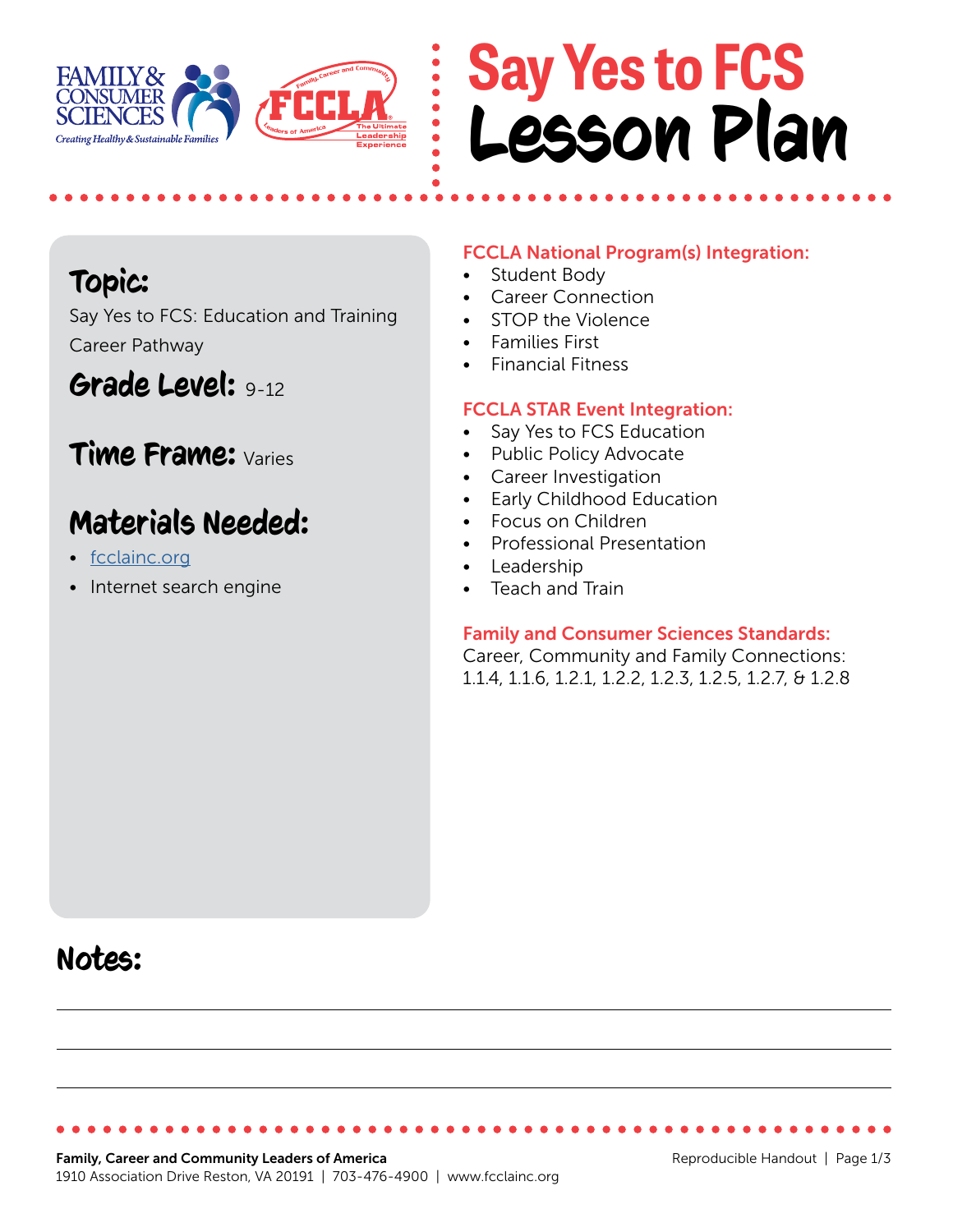

## **Say Yes to FCS** Lesson Plan

## Topic:

Say Yes to FCS: Education and Training Career Pathway

## Grade Level: 9-12

### Time Frame: Varies

## Materials Needed:

- [fcclainc.org](https://fcclainc.org/)
- Internet search engine

#### FCCLA National Program(s) Integration:

- Student Body
- Career Connection
- STOP the Violence
- Families First
- Financial Fitness

#### FCCLA STAR Event Integration:

- Say Yes to FCS Education
- Public Policy Advocate
- Career Investigation
- Early Childhood Education
- Focus on Children
- Professional Presentation
- Leadership
- Teach and Train

#### Family and Consumer Sciences Standards:

Career, Community and Family Connections: 1.1.4, 1.1.6, 1.2.1, 1.2.2, 1.2.3, 1.2.5, 1.2.7, & 1.2.8

## Notes: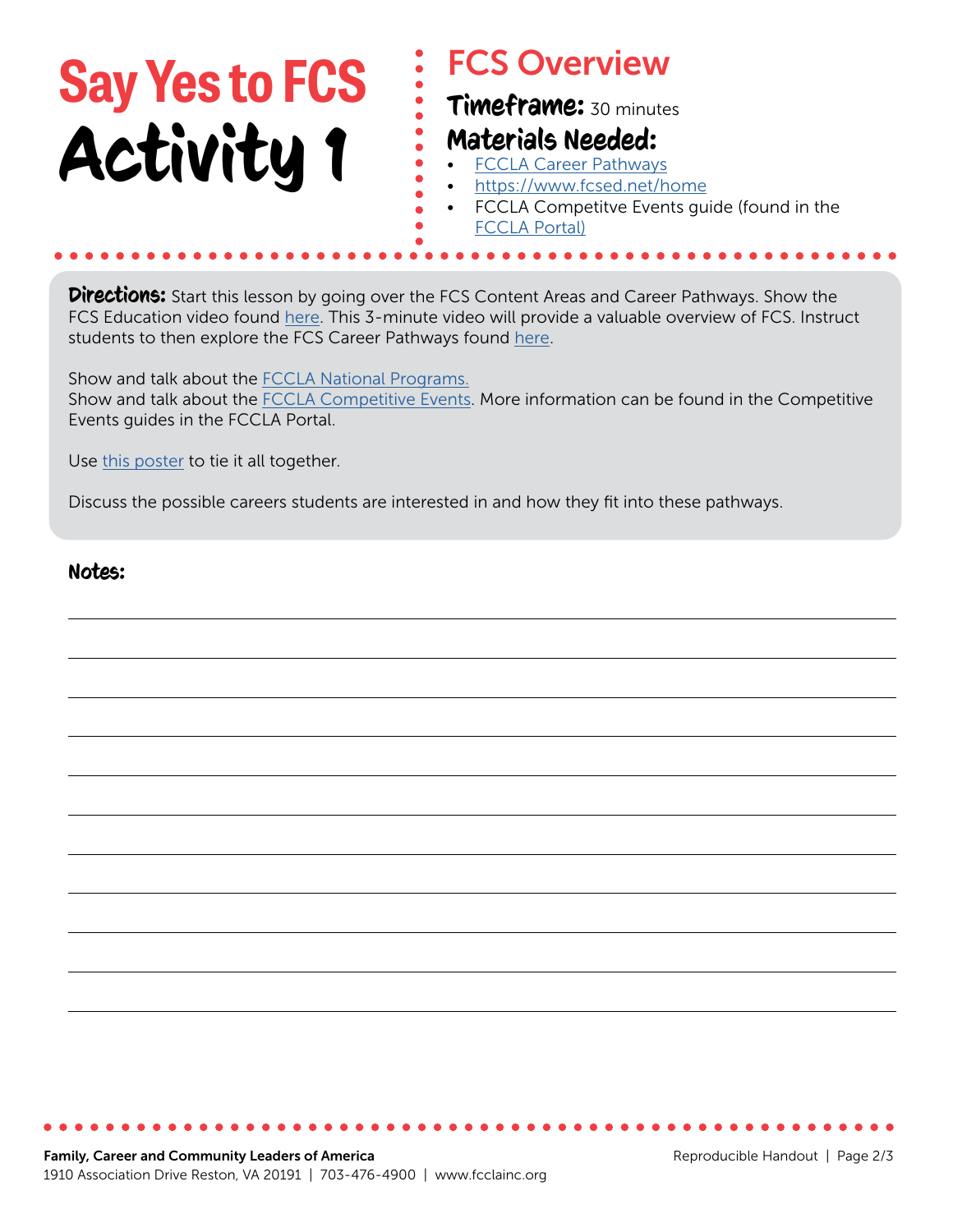# **Say Yes to FCS** Activity 1

### FCS Overview

Timeframe: 30 minutes

### Materials Needed:

- [FCCLA Career Pathways](https://fcclainc.org/engage/career-pathways)
- <https://www.fcsed.net/home>
- FCCLA Competitve Events guide (found in the [FCCLA Portal\)](https://affiliation.registermychapter.com/fccla#)

**Directions:** Start this lesson by going over the FCS Content Areas and Career Pathways. Show the FCS Education video found [here.](https://www.fcsed.net/fcsed/life-is-lab-long) This 3-minute video will provide a valuable overview of FCS. Instruct students to then explore the FCS Career Pathways found [here](https://fcclainc.org/engage/career-pathways).

Show and talk about the [FCCLA National Programs.](https://fcclainc.org/engage/national-programs) Show and talk about the **FCCLA Competitive Events**. More information can be found in the Competitive Events guides in the FCCLA Portal.

Use [this poster](https://fcclainc.org/sites/default/files/CE%20Career%20Pathways%20Poster.pdf) to tie it all together.

Discuss the possible careers students are interested in and how they fit into these pathways.

 $\begin{array}{c} \bullet \\ \bullet \\ \bullet \end{array}$ 

#### Notes: